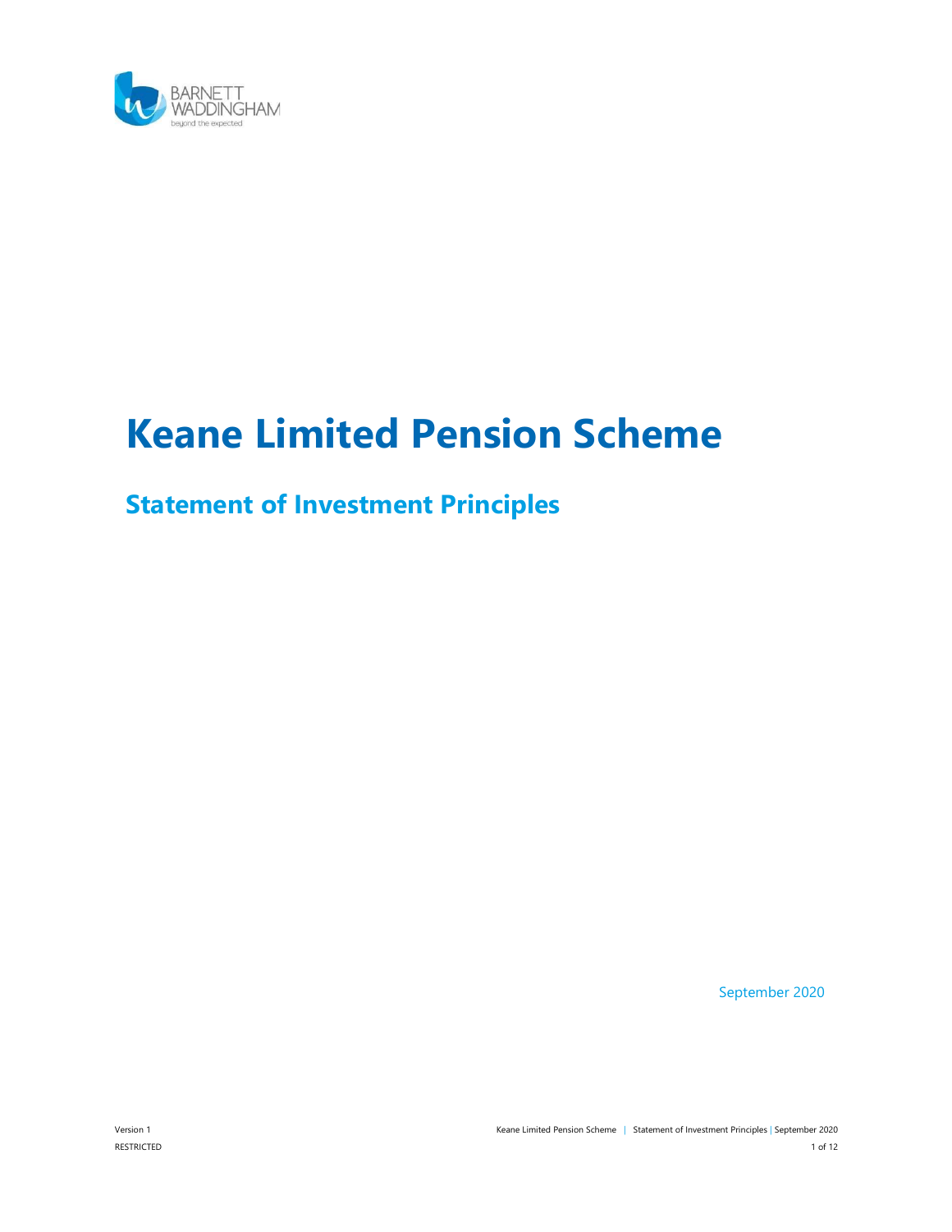

# Keane Limited Pension Scheme

# Statement of Investment Principles

September 2020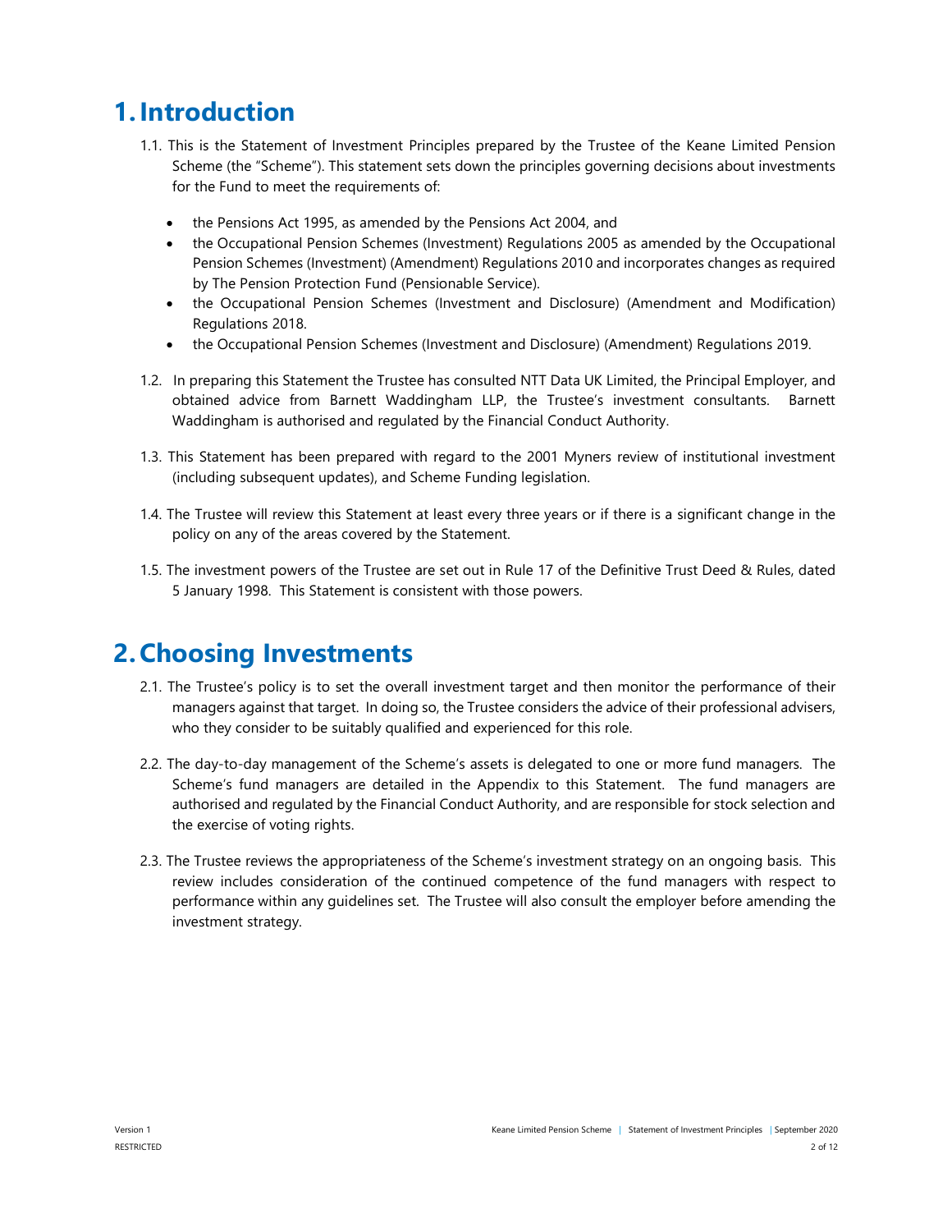# 1.Introduction

- 1.1. This is the Statement of Investment Principles prepared by the Trustee of the Keane Limited Pension Scheme (the "Scheme"). This statement sets down the principles governing decisions about investments for the Fund to meet the requirements of:
	- the Pensions Act 1995, as amended by the Pensions Act 2004, and
	- the Occupational Pension Schemes (Investment) Regulations 2005 as amended by the Occupational Pension Schemes (Investment) (Amendment) Regulations 2010 and incorporates changes as required by The Pension Protection Fund (Pensionable Service).
	- the Occupational Pension Schemes (Investment and Disclosure) (Amendment and Modification) Regulations 2018.
	- the Occupational Pension Schemes (Investment and Disclosure) (Amendment) Regulations 2019.
- 1.2. In preparing this Statement the Trustee has consulted NTT Data UK Limited, the Principal Employer, and obtained advice from Barnett Waddingham LLP, the Trustee's investment consultants. Barnett Waddingham is authorised and regulated by the Financial Conduct Authority.
- 1.3. This Statement has been prepared with regard to the 2001 Myners review of institutional investment (including subsequent updates), and Scheme Funding legislation.
- 1.4. The Trustee will review this Statement at least every three years or if there is a significant change in the policy on any of the areas covered by the Statement.
- 1.5. The investment powers of the Trustee are set out in Rule 17 of the Definitive Trust Deed & Rules, dated 5 January 1998. This Statement is consistent with those powers.

## 2. Choosing Investments

- 2.1. The Trustee's policy is to set the overall investment target and then monitor the performance of their managers against that target. In doing so, the Trustee considers the advice of their professional advisers, who they consider to be suitably qualified and experienced for this role.
- 2.2. The day-to-day management of the Scheme's assets is delegated to one or more fund managers. The Scheme's fund managers are detailed in the Appendix to this Statement. The fund managers are authorised and regulated by the Financial Conduct Authority, and are responsible for stock selection and the exercise of voting rights.
- 2.3. The Trustee reviews the appropriateness of the Scheme's investment strategy on an ongoing basis. This review includes consideration of the continued competence of the fund managers with respect to performance within any guidelines set. The Trustee will also consult the employer before amending the investment strategy.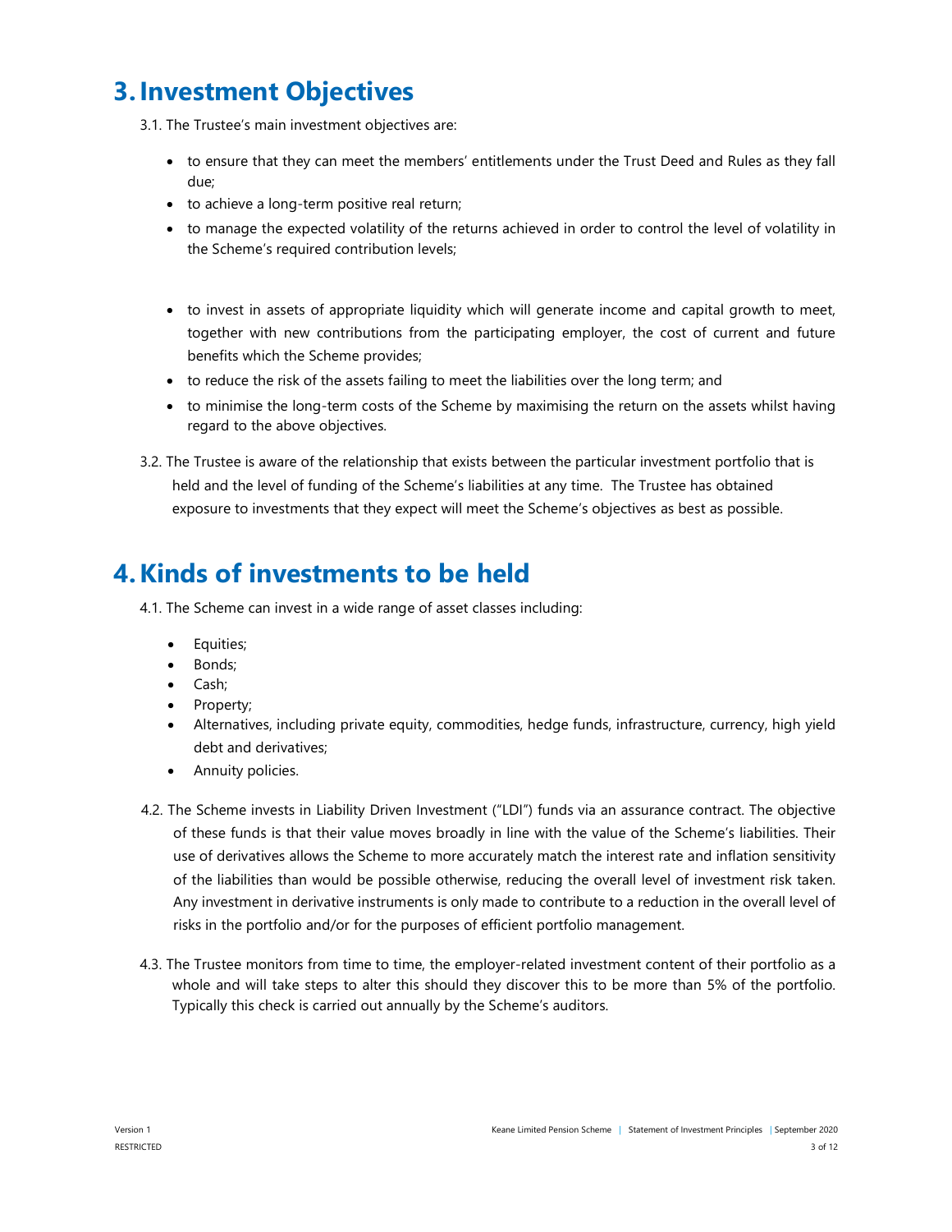# 3.Investment Objectives

3.1. The Trustee's main investment objectives are:

- to ensure that they can meet the members' entitlements under the Trust Deed and Rules as they fall due;
- to achieve a long-term positive real return;
- to manage the expected volatility of the returns achieved in order to control the level of volatility in the Scheme's required contribution levels;
- to invest in assets of appropriate liquidity which will generate income and capital growth to meet, together with new contributions from the participating employer, the cost of current and future benefits which the Scheme provides;
- to reduce the risk of the assets failing to meet the liabilities over the long term; and
- to minimise the long-term costs of the Scheme by maximising the return on the assets whilst having regard to the above objectives.
- 3.2. The Trustee is aware of the relationship that exists between the particular investment portfolio that is held and the level of funding of the Scheme's liabilities at any time. The Trustee has obtained exposure to investments that they expect will meet the Scheme's objectives as best as possible.

# 4.Kinds of investments to be held

4.1. The Scheme can invest in a wide range of asset classes including:

- **•** Equities;
- Bonds;
- Cash;
- Property;
- Alternatives, including private equity, commodities, hedge funds, infrastructure, currency, high yield debt and derivatives;
- Annuity policies.
- 4.2. The Scheme invests in Liability Driven Investment ("LDI") funds via an assurance contract. The objective of these funds is that their value moves broadly in line with the value of the Scheme's liabilities. Their use of derivatives allows the Scheme to more accurately match the interest rate and inflation sensitivity of the liabilities than would be possible otherwise, reducing the overall level of investment risk taken. Any investment in derivative instruments is only made to contribute to a reduction in the overall level of risks in the portfolio and/or for the purposes of efficient portfolio management.
- 4.3. The Trustee monitors from time to time, the employer-related investment content of their portfolio as a whole and will take steps to alter this should they discover this to be more than 5% of the portfolio. Typically this check is carried out annually by the Scheme's auditors.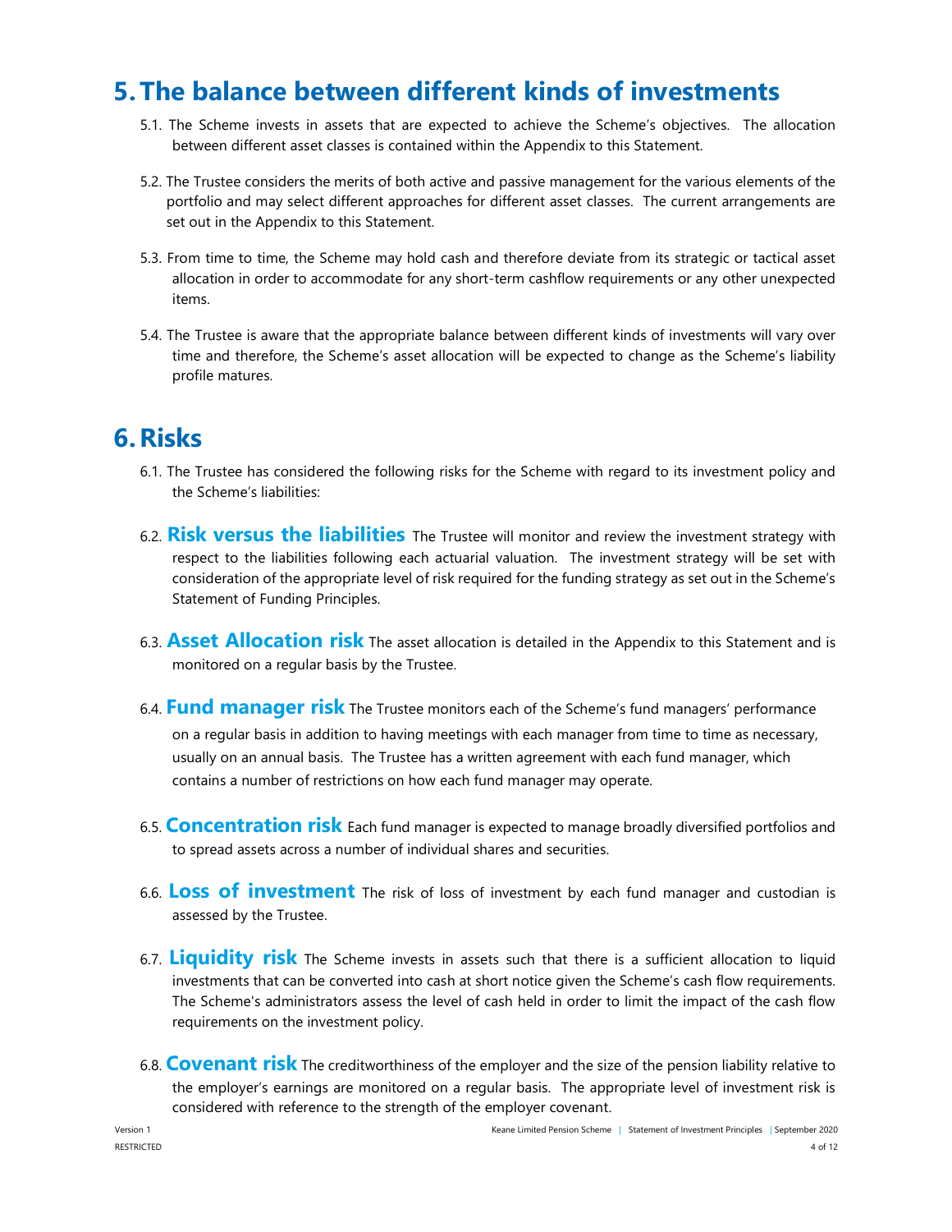# 5. The balance between different kinds of investments

- 5.1. The Scheme invests in assets that are expected to achieve the Scheme's objectives. The allocation between different asset classes is contained within the Appendix to this Statement.
- 5.2. The Trustee considers the merits of both active and passive management for the various elements of the portfolio and may select different approaches for different asset classes. The current arrangements are set out in the Appendix to this Statement.
- 5.3. From time to time, the Scheme may hold cash and therefore deviate from its strategic or tactical asset allocation in order to accommodate for any short-term cashflow requirements or any other unexpected items.
- 5.4. The Trustee is aware that the appropriate balance between different kinds of investments will vary over time and therefore, the Scheme's asset allocation will be expected to change as the Scheme's liability profile matures.

# 6.Risks

- 6.1. The Trustee has considered the following risks for the Scheme with regard to its investment policy and the Scheme's liabilities:
- 6.2. Risk versus the liabilities The Trustee will monitor and review the investment strategy with respect to the liabilities following each actuarial valuation. The investment strategy will be set with consideration of the appropriate level of risk required for the funding strategy as set out in the Scheme's Statement of Funding Principles.
- 6.3. Asset Allocation risk The asset allocation is detailed in the Appendix to this Statement and is monitored on a regular basis by the Trustee.
- 6.4. Fund manager risk The Trustee monitors each of the Scheme's fund managers' performance on a regular basis in addition to having meetings with each manager from time to time as necessary, usually on an annual basis. The Trustee has a written agreement with each fund manager, which contains a number of restrictions on how each fund manager may operate.
- 6.5. Concentration risk Each fund manager is expected to manage broadly diversified portfolios and to spread assets across a number of individual shares and securities.
- 6.6. Loss of investment The risk of loss of investment by each fund manager and custodian is assessed by the Trustee.
- 6.7. Liquidity risk The Scheme invests in assets such that there is a sufficient allocation to liquid investments that can be converted into cash at short notice given the Scheme's cash flow requirements. The Scheme's administrators assess the level of cash held in order to limit the impact of the cash flow requirements on the investment policy.
- 6.8. Covenant risk The creditworthiness of the employer and the size of the pension liability relative to the employer's earnings are monitored on a regular basis. The appropriate level of investment risk is considered with reference to the strength of the employer covenant.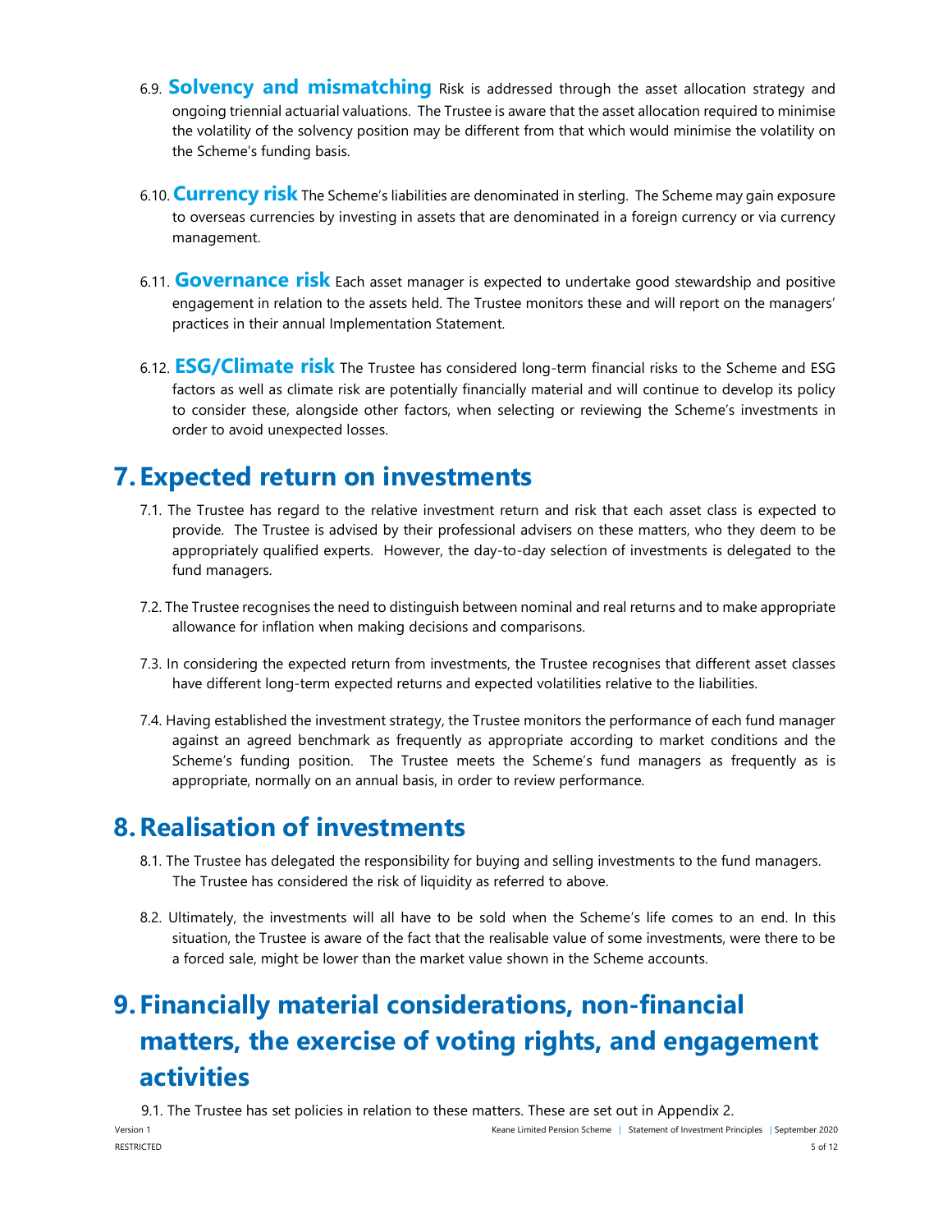- 6.9. **Solvency and mismatching** Risk is addressed through the asset allocation strategy and ongoing triennial actuarial valuations. The Trustee is aware that the asset allocation required to minimise the volatility of the solvency position may be different from that which would minimise the volatility on the Scheme's funding basis.
- 6.10. **Currency risk** The Scheme's liabilities are denominated in sterling. The Scheme may gain exposure to overseas currencies by investing in assets that are denominated in a foreign currency or via currency management.
- 6.11. **Governance risk** Each asset manager is expected to undertake good stewardship and positive engagement in relation to the assets held. The Trustee monitors these and will report on the managers' practices in their annual Implementation Statement.
- 6.12. **ESG/Climate risk** The Trustee has considered long-term financial risks to the Scheme and ESG factors as well as climate risk are potentially financially material and will continue to develop its policy to consider these, alongside other factors, when selecting or reviewing the Scheme's investments in order to avoid unexpected losses.

# 7. Expected return on investments

- 7.1. The Trustee has regard to the relative investment return and risk that each asset class is expected to provide. The Trustee is advised by their professional advisers on these matters, who they deem to be appropriately qualified experts. However, the day-to-day selection of investments is delegated to the fund managers.
- 7.2. The Trustee recognises the need to distinguish between nominal and real returns and to make appropriate allowance for inflation when making decisions and comparisons.
- 7.3. In considering the expected return from investments, the Trustee recognises that different asset classes have different long-term expected returns and expected volatilities relative to the liabilities.
- 7.4. Having established the investment strategy, the Trustee monitors the performance of each fund manager against an agreed benchmark as frequently as appropriate according to market conditions and the Scheme's funding position. The Trustee meets the Scheme's fund managers as frequently as is appropriate, normally on an annual basis, in order to review performance.

## 8.Realisation of investments

- 8.1. The Trustee has delegated the responsibility for buying and selling investments to the fund managers. The Trustee has considered the risk of liquidity as referred to above.
- 8.2. Ultimately, the investments will all have to be sold when the Scheme's life comes to an end. In this situation, the Trustee is aware of the fact that the realisable value of some investments, were there to be a forced sale, might be lower than the market value shown in the Scheme accounts.

# 9. Financially material considerations, non-financial matters, the exercise of voting rights, and engagement activities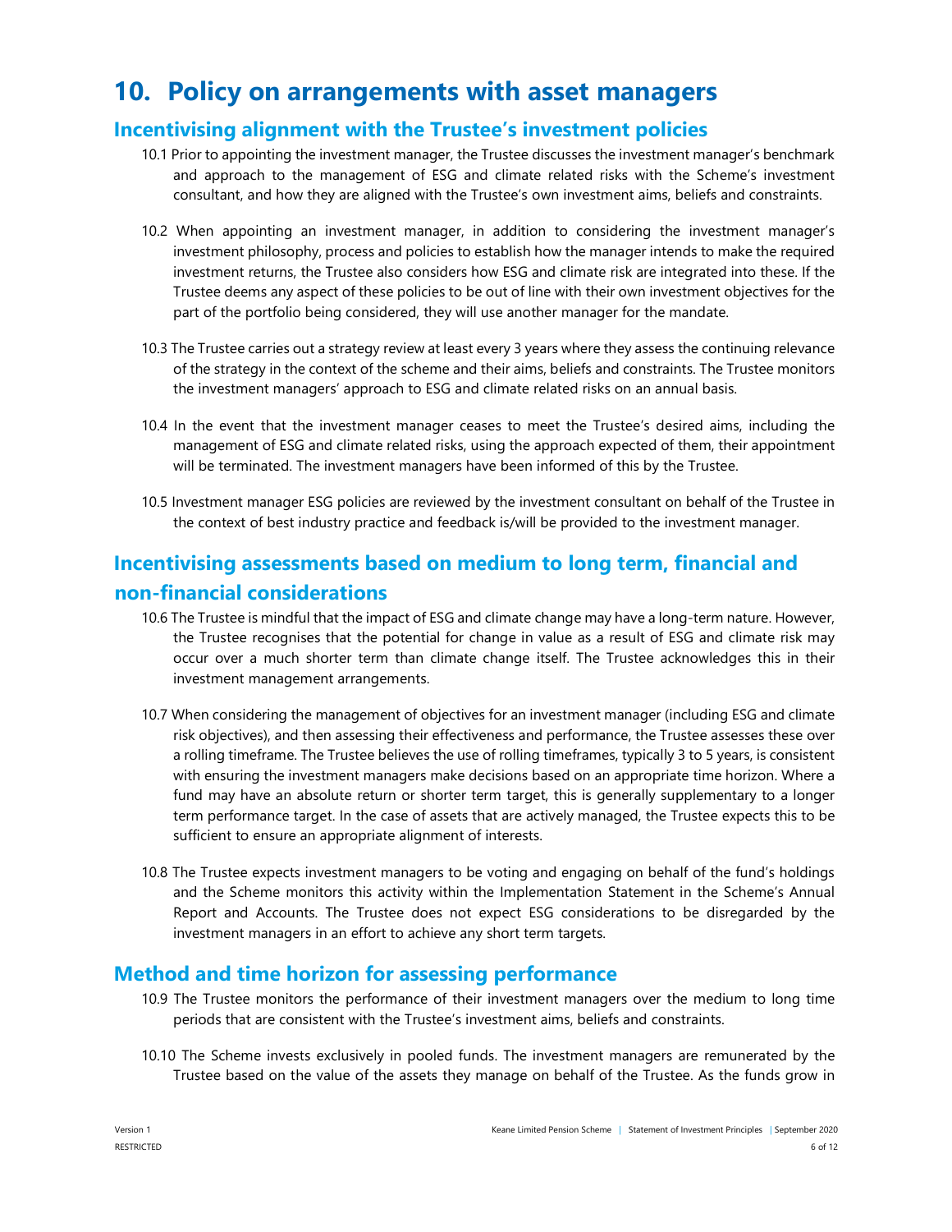# 10. Policy on arrangements with asset managers

#### Incentivising alignment with the Trustee's investment policies

- 10.1 Prior to appointing the investment manager, the Trustee discusses the investment manager's benchmark and approach to the management of ESG and climate related risks with the Scheme's investment consultant, and how they are aligned with the Trustee's own investment aims, beliefs and constraints.
- 10.2 When appointing an investment manager, in addition to considering the investment manager's investment philosophy, process and policies to establish how the manager intends to make the required investment returns, the Trustee also considers how ESG and climate risk are integrated into these. If the Trustee deems any aspect of these policies to be out of line with their own investment objectives for the part of the portfolio being considered, they will use another manager for the mandate.
- 10.3 The Trustee carries out a strategy review at least every 3 years where they assess the continuing relevance of the strategy in the context of the scheme and their aims, beliefs and constraints. The Trustee monitors the investment managers' approach to ESG and climate related risks on an annual basis.
- 10.4 In the event that the investment manager ceases to meet the Trustee's desired aims, including the management of ESG and climate related risks, using the approach expected of them, their appointment will be terminated. The investment managers have been informed of this by the Trustee.
- 10.5 Investment manager ESG policies are reviewed by the investment consultant on behalf of the Trustee in the context of best industry practice and feedback is/will be provided to the investment manager.

### Incentivising assessments based on medium to long term, financial and non-financial considerations

- 10.6 The Trustee is mindful that the impact of ESG and climate change may have a long-term nature. However, the Trustee recognises that the potential for change in value as a result of ESG and climate risk may occur over a much shorter term than climate change itself. The Trustee acknowledges this in their investment management arrangements.
- 10.7 When considering the management of objectives for an investment manager (including ESG and climate risk objectives), and then assessing their effectiveness and performance, the Trustee assesses these over a rolling timeframe. The Trustee believes the use of rolling timeframes, typically 3 to 5 years, is consistent with ensuring the investment managers make decisions based on an appropriate time horizon. Where a fund may have an absolute return or shorter term target, this is generally supplementary to a longer term performance target. In the case of assets that are actively managed, the Trustee expects this to be sufficient to ensure an appropriate alignment of interests.
- 10.8 The Trustee expects investment managers to be voting and engaging on behalf of the fund's holdings and the Scheme monitors this activity within the Implementation Statement in the Scheme's Annual Report and Accounts. The Trustee does not expect ESG considerations to be disregarded by the investment managers in an effort to achieve any short term targets.

### Method and time horizon for assessing performance

- 10.9 The Trustee monitors the performance of their investment managers over the medium to long time periods that are consistent with the Trustee's investment aims, beliefs and constraints.
- 10.10 The Scheme invests exclusively in pooled funds. The investment managers are remunerated by the Trustee based on the value of the assets they manage on behalf of the Trustee. As the funds grow in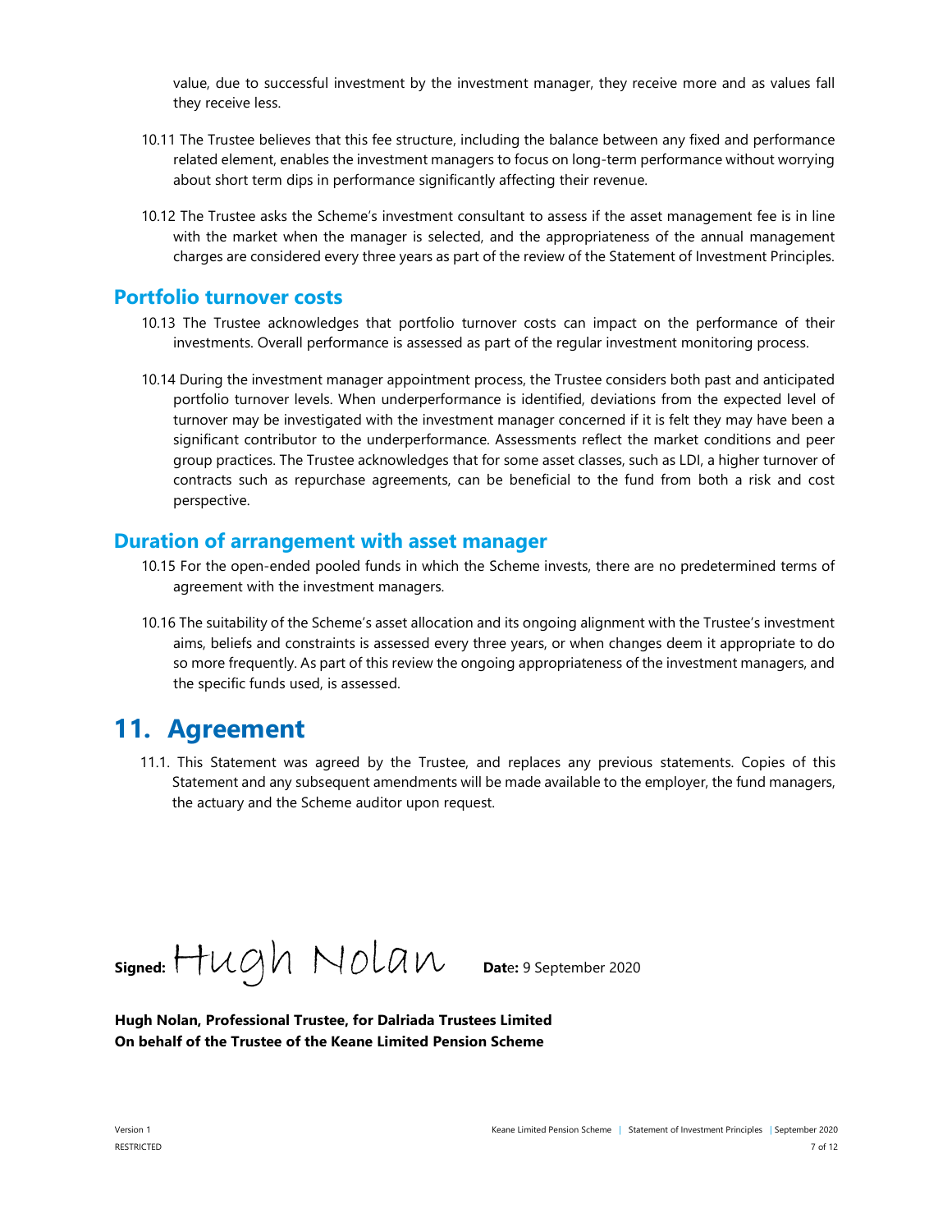value, due to successful investment by the investment manager, they receive more and as values fall they receive less.

- 10.11 The Trustee believes that this fee structure, including the balance between any fixed and performance related element, enables the investment managers to focus on long-term performance without worrying about short term dips in performance significantly affecting their revenue.
- 10.12 The Trustee asks the Scheme's investment consultant to assess if the asset management fee is in line with the market when the manager is selected, and the appropriateness of the annual management charges are considered every three years as part of the review of the Statement of Investment Principles.

#### Portfolio turnover costs

- 10.13 The Trustee acknowledges that portfolio turnover costs can impact on the performance of their investments. Overall performance is assessed as part of the regular investment monitoring process.
- 10.14 During the investment manager appointment process, the Trustee considers both past and anticipated portfolio turnover levels. When underperformance is identified, deviations from the expected level of turnover may be investigated with the investment manager concerned if it is felt they may have been a significant contributor to the underperformance. Assessments reflect the market conditions and peer group practices. The Trustee acknowledges that for some asset classes, such as LDI, a higher turnover of contracts such as repurchase agreements, can be beneficial to the fund from both a risk and cost perspective.

### Duration of arrangement with asset manager

- 10.15 For the open-ended pooled funds in which the Scheme invests, there are no predetermined terms of agreement with the investment managers.
- 10.16 The suitability of the Scheme's asset allocation and its ongoing alignment with the Trustee's investment aims, beliefs and constraints is assessed every three years, or when changes deem it appropriate to do so more frequently. As part of this review the ongoing appropriateness of the investment managers, and the specific funds used, is assessed.

### 11. Agreement

11.1. This Statement was agreed by the Trustee, and replaces any previous statements. Copies of this Statement and any subsequent amendments will be made available to the employer, the fund managers, the actuary and the Scheme auditor upon request.

 $Sigma:HHQM NOLAM$  Date: 9 September 2020

Hugh Nolan, Professional Trustee, for Dalriada Trustees Limited On behalf of the Trustee of the Keane Limited Pension Scheme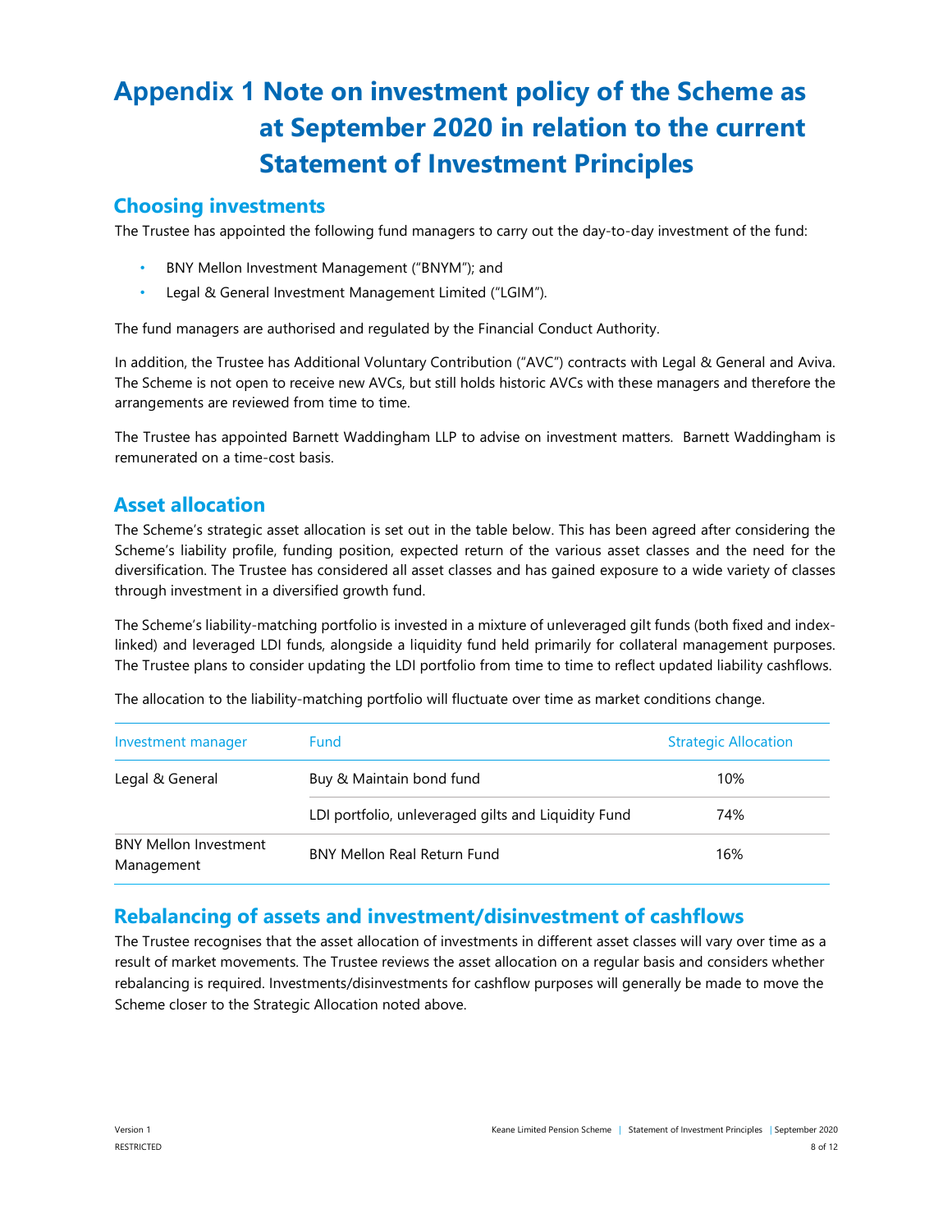# Appendix 1 Note on investment policy of the Scheme as at September 2020 in relation to the current Statement of Investment Principles

### Choosing investments

The Trustee has appointed the following fund managers to carry out the day-to-day investment of the fund:

- BNY Mellon Investment Management ("BNYM"); and
- Legal & General Investment Management Limited ("LGIM").

The fund managers are authorised and regulated by the Financial Conduct Authority.

In addition, the Trustee has Additional Voluntary Contribution ("AVC") contracts with Legal & General and Aviva. The Scheme is not open to receive new AVCs, but still holds historic AVCs with these managers and therefore the arrangements are reviewed from time to time.

The Trustee has appointed Barnett Waddingham LLP to advise on investment matters. Barnett Waddingham is remunerated on a time-cost basis.

### Asset allocation

The Scheme's strategic asset allocation is set out in the table below. This has been agreed after considering the Scheme's liability profile, funding position, expected return of the various asset classes and the need for the diversification. The Trustee has considered all asset classes and has gained exposure to a wide variety of classes through investment in a diversified growth fund.

The Scheme's liability-matching portfolio is invested in a mixture of unleveraged gilt funds (both fixed and indexlinked) and leveraged LDI funds, alongside a liquidity fund held primarily for collateral management purposes. The Trustee plans to consider updating the LDI portfolio from time to time to reflect updated liability cashflows.

The allocation to the liability-matching portfolio will fluctuate over time as market conditions change.

| Investment manager                         | Fund                                                | <b>Strategic Allocation</b> |
|--------------------------------------------|-----------------------------------------------------|-----------------------------|
| Legal & General                            | Buy & Maintain bond fund                            | 10%                         |
|                                            | LDI portfolio, unleveraged gilts and Liquidity Fund | 74%                         |
| <b>BNY Mellon Investment</b><br>Management | <b>BNY Mellon Real Return Fund</b>                  | 16%                         |

### Rebalancing of assets and investment/disinvestment of cashflows

The Trustee recognises that the asset allocation of investments in different asset classes will vary over time as a result of market movements. The Trustee reviews the asset allocation on a regular basis and considers whether rebalancing is required. Investments/disinvestments for cashflow purposes will generally be made to move the Scheme closer to the Strategic Allocation noted above.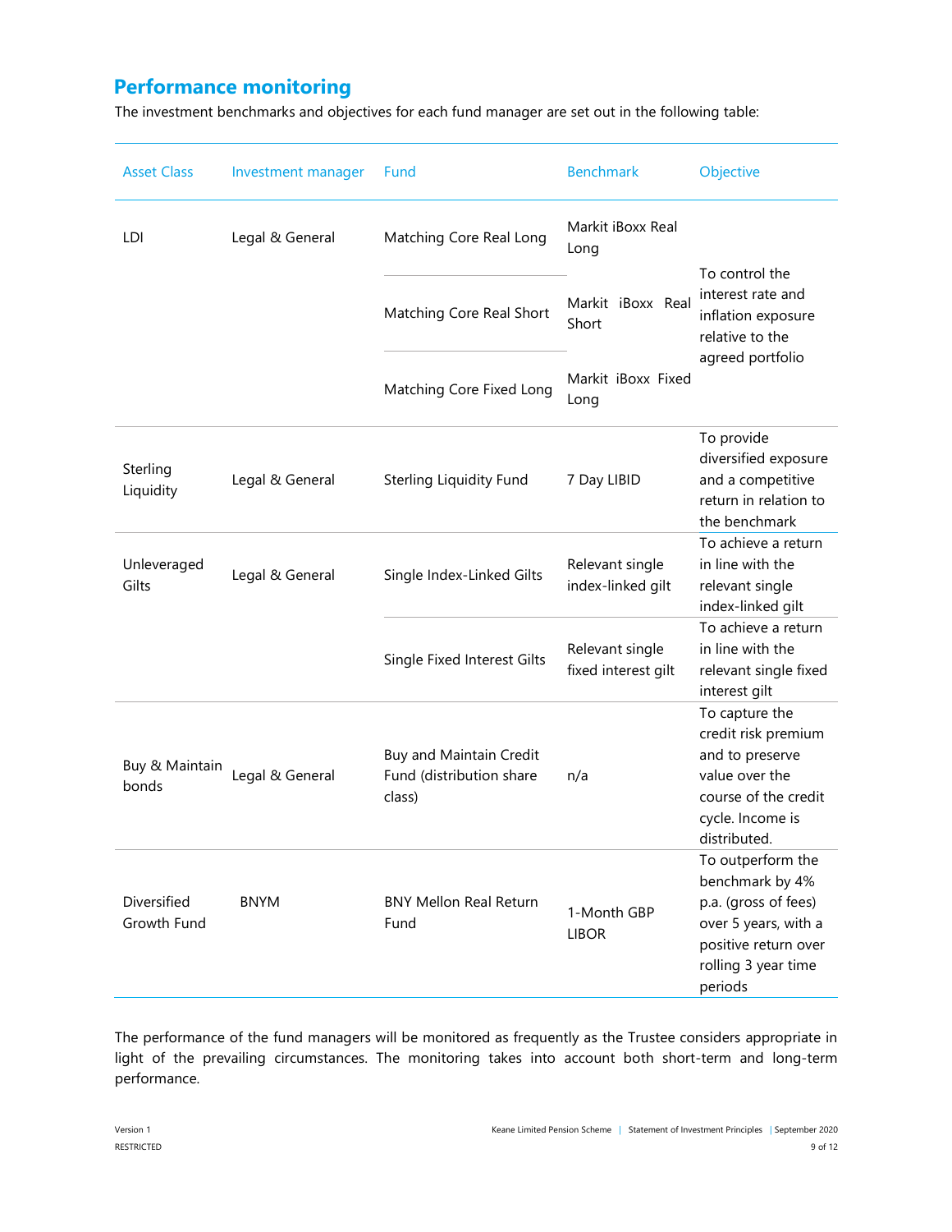### Performance monitoring

The investment benchmarks and objectives for each fund manager are set out in the following table:

| <b>Asset Class</b>         | Investment manager | Fund                                                          | <b>Benchmark</b>                       | Objective                                                                                                                                      |  |
|----------------------------|--------------------|---------------------------------------------------------------|----------------------------------------|------------------------------------------------------------------------------------------------------------------------------------------------|--|
| LDI                        | Legal & General    | Matching Core Real Long                                       | Markit iBoxx Real<br>Long              |                                                                                                                                                |  |
|                            |                    | Matching Core Real Short                                      | Markit iBoxx Real<br>Short             | To control the<br>interest rate and<br>inflation exposure<br>relative to the                                                                   |  |
|                            |                    | Matching Core Fixed Long                                      | Markit iBoxx Fixed<br>Long             | agreed portfolio                                                                                                                               |  |
| Sterling<br>Liquidity      | Legal & General    | Sterling Liquidity Fund                                       | 7 Day LIBID                            | To provide<br>diversified exposure<br>and a competitive<br>return in relation to<br>the benchmark                                              |  |
| Unleveraged<br>Gilts       | Legal & General    | Single Index-Linked Gilts                                     | Relevant single<br>index-linked gilt   | To achieve a return<br>in line with the<br>relevant single<br>index-linked gilt                                                                |  |
|                            |                    | Single Fixed Interest Gilts                                   | Relevant single<br>fixed interest gilt | To achieve a return<br>in line with the<br>relevant single fixed<br>interest gilt                                                              |  |
| Buy & Maintain<br>bonds    | Legal & General    | Buy and Maintain Credit<br>Fund (distribution share<br>class) | n/a                                    | To capture the<br>credit risk premium<br>and to preserve<br>value over the<br>course of the credit<br>cycle. Income is<br>distributed.         |  |
| Diversified<br>Growth Fund | <b>BNYM</b>        | <b>BNY Mellon Real Return</b><br>Fund                         | 1-Month GBP<br><b>LIBOR</b>            | To outperform the<br>benchmark by 4%<br>p.a. (gross of fees)<br>over 5 years, with a<br>positive return over<br>rolling 3 year time<br>periods |  |

The performance of the fund managers will be monitored as frequently as the Trustee considers appropriate in light of the prevailing circumstances. The monitoring takes into account both short-term and long-term performance.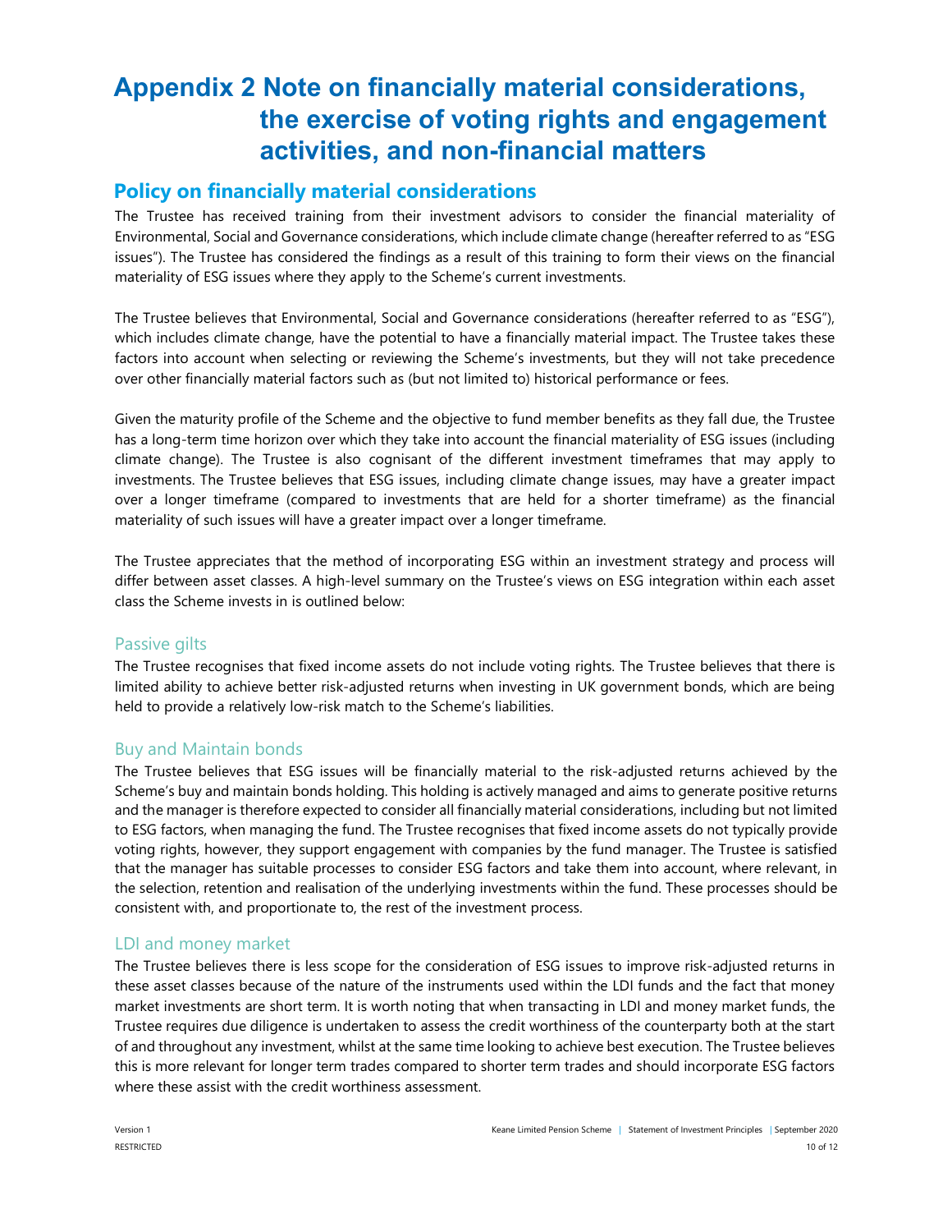# Appendix 2 Note on financially material considerations, the exercise of voting rights and engagement activities, and non-financial matters

### Policy on financially material considerations

The Trustee has received training from their investment advisors to consider the financial materiality of Environmental, Social and Governance considerations, which include climate change (hereafter referred to as "ESG issues"). The Trustee has considered the findings as a result of this training to form their views on the financial materiality of ESG issues where they apply to the Scheme's current investments.

The Trustee believes that Environmental, Social and Governance considerations (hereafter referred to as "ESG"), which includes climate change, have the potential to have a financially material impact. The Trustee takes these factors into account when selecting or reviewing the Scheme's investments, but they will not take precedence over other financially material factors such as (but not limited to) historical performance or fees.

Given the maturity profile of the Scheme and the objective to fund member benefits as they fall due, the Trustee has a long-term time horizon over which they take into account the financial materiality of ESG issues (including climate change). The Trustee is also cognisant of the different investment timeframes that may apply to investments. The Trustee believes that ESG issues, including climate change issues, may have a greater impact over a longer timeframe (compared to investments that are held for a shorter timeframe) as the financial materiality of such issues will have a greater impact over a longer timeframe.

The Trustee appreciates that the method of incorporating ESG within an investment strategy and process will differ between asset classes. A high-level summary on the Trustee's views on ESG integration within each asset class the Scheme invests in is outlined below:

#### Passive gilts

The Trustee recognises that fixed income assets do not include voting rights. The Trustee believes that there is limited ability to achieve better risk-adjusted returns when investing in UK government bonds, which are being held to provide a relatively low-risk match to the Scheme's liabilities.

#### Buy and Maintain bonds

The Trustee believes that ESG issues will be financially material to the risk-adjusted returns achieved by the Scheme's buy and maintain bonds holding. This holding is actively managed and aims to generate positive returns and the manager is therefore expected to consider all financially material considerations, including but not limited to ESG factors, when managing the fund. The Trustee recognises that fixed income assets do not typically provide voting rights, however, they support engagement with companies by the fund manager. The Trustee is satisfied that the manager has suitable processes to consider ESG factors and take them into account, where relevant, in the selection, retention and realisation of the underlying investments within the fund. These processes should be consistent with, and proportionate to, the rest of the investment process.

#### LDI and money market

The Trustee believes there is less scope for the consideration of ESG issues to improve risk-adjusted returns in these asset classes because of the nature of the instruments used within the LDI funds and the fact that money market investments are short term. It is worth noting that when transacting in LDI and money market funds, the Trustee requires due diligence is undertaken to assess the credit worthiness of the counterparty both at the start of and throughout any investment, whilst at the same time looking to achieve best execution. The Trustee believes this is more relevant for longer term trades compared to shorter term trades and should incorporate ESG factors where these assist with the credit worthiness assessment.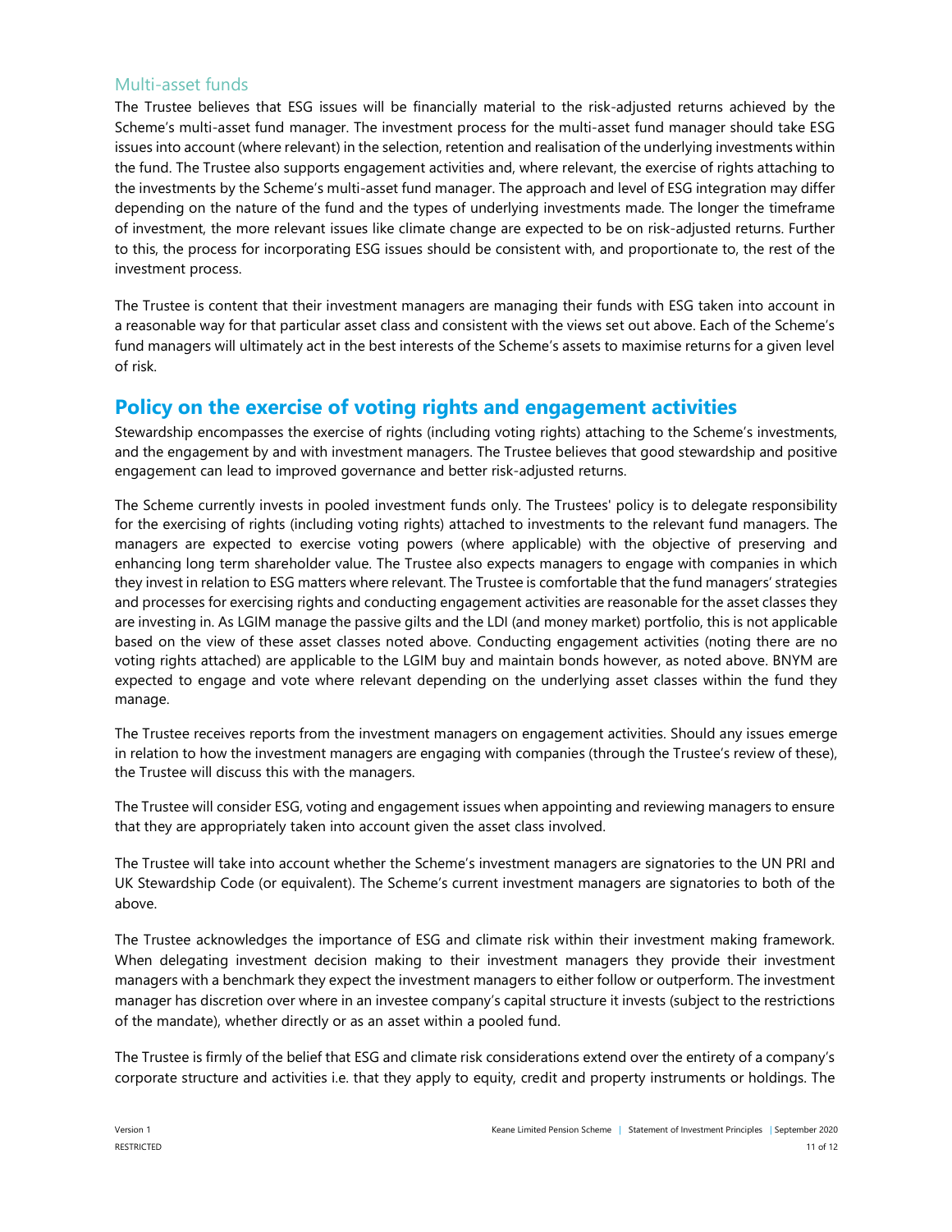#### Multi-asset funds

The Trustee believes that ESG issues will be financially material to the risk-adjusted returns achieved by the Scheme's multi-asset fund manager. The investment process for the multi-asset fund manager should take ESG issues into account (where relevant) in the selection, retention and realisation of the underlying investments within the fund. The Trustee also supports engagement activities and, where relevant, the exercise of rights attaching to the investments by the Scheme's multi-asset fund manager. The approach and level of ESG integration may differ depending on the nature of the fund and the types of underlying investments made. The longer the timeframe of investment, the more relevant issues like climate change are expected to be on risk-adjusted returns. Further to this, the process for incorporating ESG issues should be consistent with, and proportionate to, the rest of the investment process.

The Trustee is content that their investment managers are managing their funds with ESG taken into account in a reasonable way for that particular asset class and consistent with the views set out above. Each of the Scheme's fund managers will ultimately act in the best interests of the Scheme's assets to maximise returns for a given level of risk.

### Policy on the exercise of voting rights and engagement activities

Stewardship encompasses the exercise of rights (including voting rights) attaching to the Scheme's investments, and the engagement by and with investment managers. The Trustee believes that good stewardship and positive engagement can lead to improved governance and better risk-adjusted returns.

The Scheme currently invests in pooled investment funds only. The Trustees' policy is to delegate responsibility for the exercising of rights (including voting rights) attached to investments to the relevant fund managers. The managers are expected to exercise voting powers (where applicable) with the objective of preserving and enhancing long term shareholder value. The Trustee also expects managers to engage with companies in which they invest in relation to ESG matters where relevant. The Trustee is comfortable that the fund managers' strategies and processes for exercising rights and conducting engagement activities are reasonable for the asset classes they are investing in. As LGIM manage the passive gilts and the LDI (and money market) portfolio, this is not applicable based on the view of these asset classes noted above. Conducting engagement activities (noting there are no voting rights attached) are applicable to the LGIM buy and maintain bonds however, as noted above. BNYM are expected to engage and vote where relevant depending on the underlying asset classes within the fund they manage.

The Trustee receives reports from the investment managers on engagement activities. Should any issues emerge in relation to how the investment managers are engaging with companies (through the Trustee's review of these), the Trustee will discuss this with the managers.

The Trustee will consider ESG, voting and engagement issues when appointing and reviewing managers to ensure that they are appropriately taken into account given the asset class involved.

The Trustee will take into account whether the Scheme's investment managers are signatories to the UN PRI and UK Stewardship Code (or equivalent). The Scheme's current investment managers are signatories to both of the above.

The Trustee acknowledges the importance of ESG and climate risk within their investment making framework. When delegating investment decision making to their investment managers they provide their investment managers with a benchmark they expect the investment managers to either follow or outperform. The investment manager has discretion over where in an investee company's capital structure it invests (subject to the restrictions of the mandate), whether directly or as an asset within a pooled fund.

The Trustee is firmly of the belief that ESG and climate risk considerations extend over the entirety of a company's corporate structure and activities i.e. that they apply to equity, credit and property instruments or holdings. The